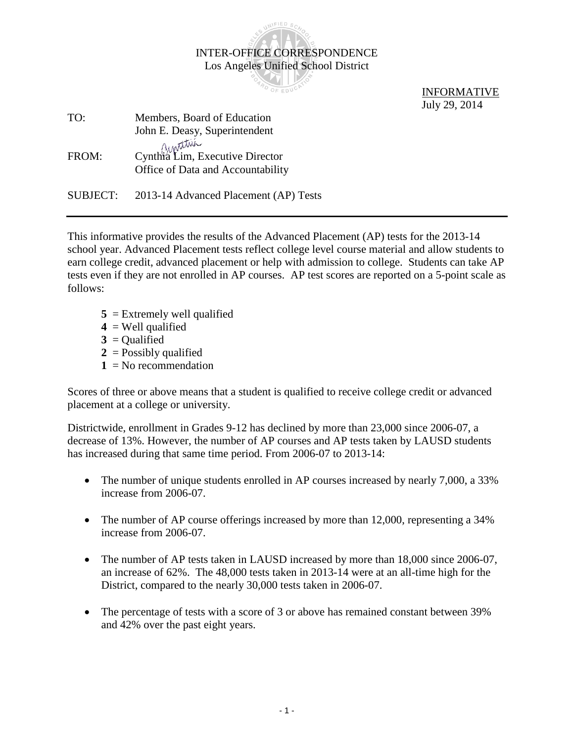|                 | <b>INTER-OFFICE CORRESPONDENCE</b>    |                    |
|-----------------|---------------------------------------|--------------------|
|                 | Los Angeles Unified School District   |                    |
|                 |                                       |                    |
|                 |                                       | <b>INFORMATIVE</b> |
|                 |                                       | July 29, 2014      |
| TO:             | Members, Board of Education           |                    |
|                 | John E. Deasy, Superintendent         |                    |
|                 | Ainstitue                             |                    |
| FROM:           | Cynthra Lim, Executive Director       |                    |
|                 | Office of Data and Accountability     |                    |
| <b>SUBJECT:</b> | 2013-14 Advanced Placement (AP) Tests |                    |

SUNIFIED SCHO

This informative provides the results of the Advanced Placement (AP) tests for the 2013-14 school year. Advanced Placement tests reflect college level course material and allow students to earn college credit, advanced placement or help with admission to college. Students can take AP tests even if they are not enrolled in AP courses. AP test scores are reported on a 5-point scale as follows:

- **5** = Extremely well qualified
- $4 =$  Well qualified
- $3 =$ Qualified
- $2 =$ Possibly qualified
- $1 = No$  recommendation

Scores of three or above means that a student is qualified to receive college credit or advanced placement at a college or university.

Districtwide, enrollment in Grades 9-12 has declined by more than 23,000 since 2006-07, a decrease of 13%. However, the number of AP courses and AP tests taken by LAUSD students has increased during that same time period. From 2006-07 to 2013-14:

- The number of unique students enrolled in AP courses increased by nearly 7,000, a 33% increase from 2006-07.
- The number of AP course offerings increased by more than 12,000, representing a 34% increase from 2006-07.
- The number of AP tests taken in LAUSD increased by more than 18,000 since 2006-07, an increase of 62%. The 48,000 tests taken in 2013-14 were at an all-time high for the District, compared to the nearly 30,000 tests taken in 2006-07.
- The percentage of tests with a score of 3 or above has remained constant between 39% and 42% over the past eight years.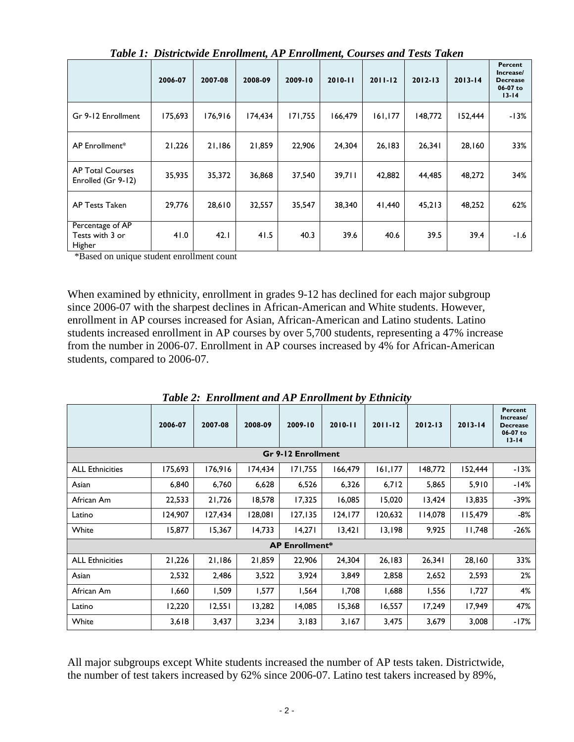|                                               | 2006-07 | 2007-08 | 2008-09 | 2009-10 | $2010 - 11$ | $2011 - 12$ | $2012 - 13$ | $2013 - 14$ | Percent<br>Increase/<br><b>Decrease</b><br>06-07 to<br>$13 - 14$ |
|-----------------------------------------------|---------|---------|---------|---------|-------------|-------------|-------------|-------------|------------------------------------------------------------------|
| Gr 9-12 Enrollment                            | 175,693 | 176,916 | 174,434 | 171,755 | 166,479     | 161, 177    | 148,772     | 152,444     | $-13%$                                                           |
| AP Enrollment*                                | 21,226  | 21,186  | 21,859  | 22,906  | 24,304      | 26,183      | 26,341      | 28,160      | 33%                                                              |
| <b>AP Total Courses</b><br>Enrolled (Gr 9-12) | 35,935  | 35,372  | 36,868  | 37,540  | 39,711      | 42,882      | 44,485      | 48,272      | 34%                                                              |
| <b>AP Tests Taken</b>                         | 29,776  | 28,610  | 32,557  | 35,547  | 38,340      | 41,440      | 45,213      | 48,252      | 62%                                                              |
| Percentage of AP<br>Tests with 3 or<br>Higher | 41.0    | 42.1    | 41.5    | 40.3    | 39.6        | 40.6        | 39.5        | 39.4        | $-1.6$                                                           |

*Table 1: Districtwide Enrollment, AP Enrollment, Courses and Tests Taken*

\*Based on unique student enrollment count

When examined by ethnicity, enrollment in grades 9-12 has declined for each major subgroup since 2006-07 with the sharpest declines in African-American and White students. However, enrollment in AP courses increased for Asian, African-American and Latino students. Latino students increased enrollment in AP courses by over 5,700 students, representing a 47% increase from the number in 2006-07. Enrollment in AP courses increased by 4% for African-American students, compared to 2006-07.

|                        | 2006-07 | 2007-08 | 2008-09 | 2009-10               | $2010 - 11$ | $2011 - 12$ | $2012 - 13$ | $2013 - 14$ | Percent<br>Increase/<br><b>Decrease</b><br>06-07 to<br>$13 - 14$ |  |  |  |  |  |
|------------------------|---------|---------|---------|-----------------------|-------------|-------------|-------------|-------------|------------------------------------------------------------------|--|--|--|--|--|
| Gr 9-12 Enrollment     |         |         |         |                       |             |             |             |             |                                                                  |  |  |  |  |  |
| <b>ALL Ethnicities</b> | 175,693 | 176,916 | 174,434 | 171,755               | 166,479     | 161, 177    | 148,772     | 152,444     | $-13%$                                                           |  |  |  |  |  |
| Asian                  | 6,840   | 6,760   | 6,628   | 6,526                 | 6,326       | 6,712       | 5,865       | 5,910       | $-14%$                                                           |  |  |  |  |  |
| African Am             | 22,533  | 21,726  | 18,578  | 17,325                | 16,085      | 15,020      | 13,424      | 13,835      | $-39%$                                                           |  |  |  |  |  |
| Latino                 | 124,907 | 127,434 | 128,081 | 127, 135              | 124,177     | 120,632     | 114,078     | 115,479     | -8%                                                              |  |  |  |  |  |
| White                  | 15,877  | 15,367  | 14,733  | 14,271                | 13,421      | 13,198      | 9,925       | 11,748      | $-26%$                                                           |  |  |  |  |  |
|                        |         |         |         | <b>AP Enrollment*</b> |             |             |             |             |                                                                  |  |  |  |  |  |
| <b>ALL Ethnicities</b> | 21,226  | 21,186  | 21,859  | 22,906                | 24.304      | 26,183      | 26,341      | 28,160      | 33%                                                              |  |  |  |  |  |
| Asian                  | 2,532   | 2,486   | 3,522   | 3,924                 | 3,849       | 2,858       | 2,652       | 2,593       | 2%                                                               |  |  |  |  |  |
| African Am             | 1,660   | 1,509   | 1,577   | 1,564                 | 1,708       | 1,688       | 1,556       | 1,727       | 4%                                                               |  |  |  |  |  |
| Latino                 | 12,220  | 12,551  | 13,282  | 14,085                | 15,368      | 16,557      | 17,249      | 17,949      | 47%                                                              |  |  |  |  |  |
| White                  | 3,618   | 3,437   | 3,234   | 3,183                 | 3,167       | 3,475       | 3,679       | 3,008       | $-17%$                                                           |  |  |  |  |  |

*Table 2: Enrollment and AP Enrollment by Ethnicity*

All major subgroups except White students increased the number of AP tests taken. Districtwide, the number of test takers increased by 62% since 2006-07. Latino test takers increased by 89%,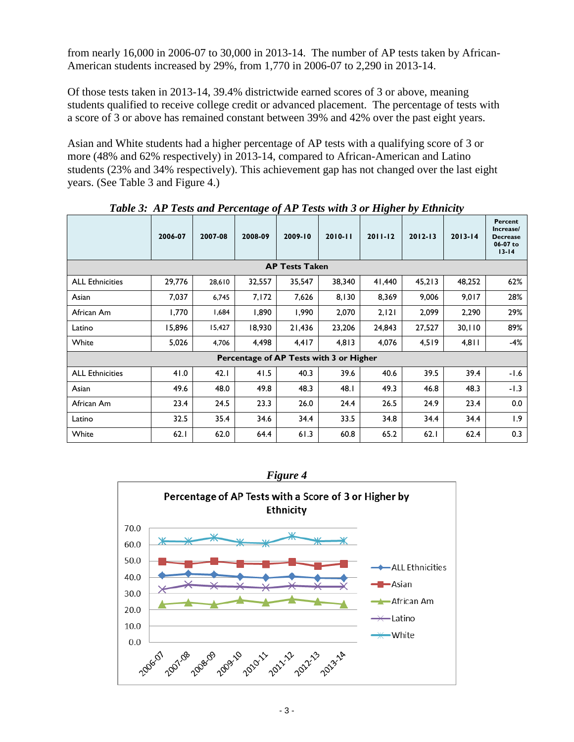from nearly 16,000 in 2006-07 to 30,000 in 2013-14. The number of AP tests taken by African-American students increased by 29%, from 1,770 in 2006-07 to 2,290 in 2013-14.

Of those tests taken in 2013-14, 39.4% districtwide earned scores of 3 or above, meaning students qualified to receive college credit or advanced placement. The percentage of tests with a score of 3 or above has remained constant between 39% and 42% over the past eight years.

Asian and White students had a higher percentage of AP tests with a qualifying score of 3 or more (48% and 62% respectively) in 2013-14, compared to African-American and Latino students (23% and 34% respectively). This achievement gap has not changed over the last eight years. (See Table 3 and Figure 4.)

|                                         | 2006-07 | 2007-08 | 2008-09 | $-20 - 7$<br>2009-10 | $2010 - 11$ | -- הי<br>$2011 - 12$ | $\sim$ , $\sim$<br>$2012 - 13$ | $2013 - 14$ | Percent<br>Increase/<br><b>Decrease</b><br>06-07 to<br>$13 - 14$ |  |  |  |  |  |
|-----------------------------------------|---------|---------|---------|----------------------|-------------|----------------------|--------------------------------|-------------|------------------------------------------------------------------|--|--|--|--|--|
| <b>AP Tests Taken</b>                   |         |         |         |                      |             |                      |                                |             |                                                                  |  |  |  |  |  |
| <b>ALL Ethnicities</b>                  | 29,776  | 28,610  | 32,557  | 35,547               | 38,340      | 41,440               | 45,213                         | 48,252      | 62%                                                              |  |  |  |  |  |
| Asian                                   | 7,037   | 6,745   | 7,172   | 7,626                | 8,130       | 8,369                | 9,006                          | 9,017       | 28%                                                              |  |  |  |  |  |
| African Am                              | 1,770   | 1,684   | 1,890   | 1,990                | 2,070       | 2, 121               | 2,099                          | 2,290       | 29%                                                              |  |  |  |  |  |
| Latino                                  | 15,896  | 15,427  | 18,930  | 21,436               | 23,206      | 24,843               | 27,527                         | 30,110      | 89%                                                              |  |  |  |  |  |
| White                                   | 5,026   | 4,706   | 4,498   | 4,417                | 4,813       | 4,076                | 4,519                          | 4,811       | $-4%$                                                            |  |  |  |  |  |
| Percentage of AP Tests with 3 or Higher |         |         |         |                      |             |                      |                                |             |                                                                  |  |  |  |  |  |
| <b>ALL Ethnicities</b>                  | 41.0    | 42.1    | 41.5    | 40.3                 | 39.6        | 40.6                 | 39.5                           | 39.4        | -1.6                                                             |  |  |  |  |  |
| Asian                                   | 49.6    | 48.0    | 49.8    | 48.3                 | 48.1        | 49.3                 | 46.8                           | 48.3        | $-1.3$                                                           |  |  |  |  |  |
| African Am                              | 23.4    | 24.5    | 23.3    | 26.0                 | 24.4        | 26.5                 | 24.9                           | 23.4        | 0.0                                                              |  |  |  |  |  |
| Latino                                  | 32.5    | 35.4    | 34.6    | 34.4                 | 33.5        | 34.8                 | 34.4                           | 34.4        | 1.9                                                              |  |  |  |  |  |
| White                                   | 62.1    | 62.0    | 64.4    | 61.3                 | 60.8        | 65.2                 | 62.1                           | 62.4        | 0.3                                                              |  |  |  |  |  |

*Table 3: AP Tests and Percentage of AP Tests with 3 or Higher by Ethnicity*

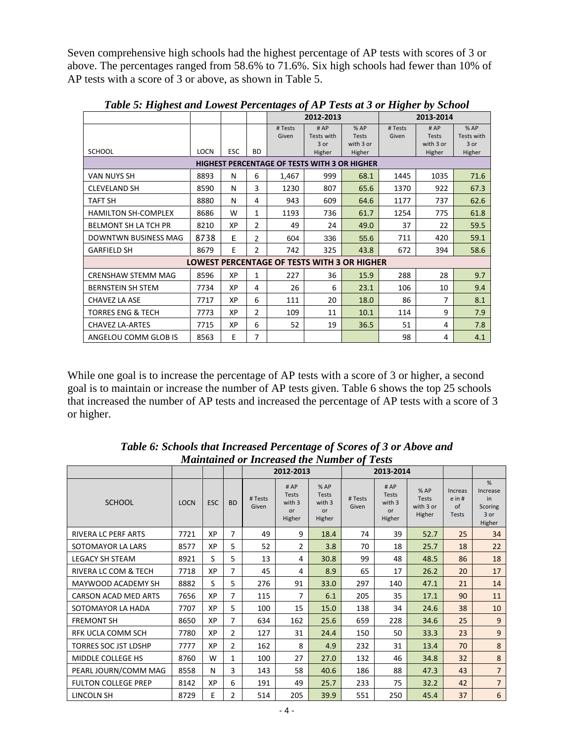Seven comprehensive high schools had the highest percentage of AP tests with scores of 3 or above. The percentages ranged from 58.6% to 71.6%. Six high schools had fewer than 10% of AP tests with a score of 3 or above, as shown in Table 5.

|                                                     |             |            |                |                  | 2012-2013                                          |                                  |                  | 2013-2014                        |                           |  |  |  |  |
|-----------------------------------------------------|-------------|------------|----------------|------------------|----------------------------------------------------|----------------------------------|------------------|----------------------------------|---------------------------|--|--|--|--|
|                                                     |             |            |                | # Tests<br>Given | #AP<br>Tests with<br>$3$ or                        | %AP<br><b>Tests</b><br>with 3 or | # Tests<br>Given | #AP<br><b>Tests</b><br>with 3 or | %AP<br>Tests with<br>3 or |  |  |  |  |
| <b>SCHOOL</b>                                       | <b>LOCN</b> | <b>ESC</b> | <b>BD</b>      |                  | Higher                                             | Higher                           |                  | Higher                           | Higher                    |  |  |  |  |
| <b>HIGHEST PERCENTAGE OF TESTS WITH 3 OR HIGHER</b> |             |            |                |                  |                                                    |                                  |                  |                                  |                           |  |  |  |  |
| <b>VAN NUYS SH</b>                                  | 8893        | N          | 6              | 1,467            | 999                                                | 68.1                             | 1445             | 1035                             | 71.6                      |  |  |  |  |
| <b>CLEVELAND SH</b>                                 | 8590        | N          | 3              | 1230             | 807                                                | 65.6                             | 1370             | 922                              | 67.3                      |  |  |  |  |
| TAFT SH                                             | 8880        | N          | 4              | 943              | 609                                                | 64.6                             | 1177             | 737                              | 62.6                      |  |  |  |  |
| <b>HAMILTON SH-COMPLEX</b>                          | 8686        | W          | $\mathbf{1}$   | 1193             | 736                                                | 61.7                             | 1254             | 775                              | 61.8                      |  |  |  |  |
| <b>BELMONT SH LA TCH PR</b>                         | 8210        | XP         | $\overline{2}$ | 49               | 24                                                 | 49.0                             | 37               | 22                               | 59.5                      |  |  |  |  |
| <b>DOWNTWN BUSINESS MAG</b>                         | 8738        | E          | 2              | 604              | 336                                                | 55.6                             | 711              | 420                              | 59.1                      |  |  |  |  |
| <b>GARFIELD SH</b>                                  | 8679        | E          | $\overline{2}$ | 742              | 325                                                | 43.8                             | 672              | 394                              | 58.6                      |  |  |  |  |
|                                                     |             |            |                |                  | <b>LOWEST PERCENTAGE OF TESTS WITH 3 OR HIGHER</b> |                                  |                  |                                  |                           |  |  |  |  |
| <b>CRENSHAW STEMM MAG</b>                           | 8596        | XP         | $\mathbf{1}$   | 227              | 36                                                 | 15.9                             | 288              | 28                               | 9.7                       |  |  |  |  |
| <b>BERNSTEIN SH STEM</b>                            | 7734        | XP         | 4              | 26               | 6                                                  | 23.1                             | 106              | 10                               | 9.4                       |  |  |  |  |
| CHAVEZ LA ASE                                       | 7717        | ХP         | 6              | 111              | 20                                                 | 18.0                             | 86               | 7                                | 8.1                       |  |  |  |  |
| <b>TORRES ENG &amp; TECH</b>                        | 7773        | XP         | $\overline{2}$ | 109              | 11                                                 | 10.1                             | 114              | 9                                | 7.9                       |  |  |  |  |
| <b>CHAVEZ LA-ARTES</b>                              | 7715        | ХP         | 6              | 52               | 19                                                 | 36.5                             | 51               | 4                                | 7.8                       |  |  |  |  |
| ANGELOU COMM GLOB IS                                | 8563        | E          | 7              |                  |                                                    |                                  | 98               | 4                                | 4.1                       |  |  |  |  |

*Table 5: Highest and Lowest Percentages of AP Tests at 3 or Higher by School*

While one goal is to increase the percentage of AP tests with a score of 3 or higher, a second goal is to maintain or increase the number of AP tests given. Table 6 shows the top 25 schools that increased the number of AP tests and increased the percentage of AP tests with a score of 3 or higher. Ì

|                             |             |            |                |                  | 2012-2013                                     |                                                |                  | 2013-2014                                            |                                            |                                                   |                                                  |
|-----------------------------|-------------|------------|----------------|------------------|-----------------------------------------------|------------------------------------------------|------------------|------------------------------------------------------|--------------------------------------------|---------------------------------------------------|--------------------------------------------------|
| <b>SCHOOL</b>               | <b>LOCN</b> | <b>ESC</b> | <b>BD</b>      | # Tests<br>Given | #AP<br><b>Tests</b><br>with 3<br>or<br>Higher | % AP<br><b>Tests</b><br>with 3<br>or<br>Higher | # Tests<br>Given | #AP<br><b>Tests</b><br>with 3<br><b>or</b><br>Higher | %AP<br><b>Tests</b><br>with 3 or<br>Higher | Increas<br>$e$ in #<br>$\alpha$ f<br><b>Tests</b> | %<br>Increase<br>in<br>Scoring<br>3 or<br>Higher |
| <b>RIVERA LC PERF ARTS</b>  | 7721        | XP         | 7              | 49               | 9                                             | 18.4                                           | 74               | 39                                                   | 52.7                                       | 25                                                | 34                                               |
| SOTOMAYOR LA LARS           | 8577        | XP         | 5              | 52               | $\overline{2}$                                | 3.8                                            | 70               | 18                                                   | 25.7                                       | 18                                                | 22                                               |
| <b>LEGACY SH STEAM</b>      | 8921        | S          | 5              | 13               | 4                                             | 30.8                                           | 99               | 48                                                   | 48.5                                       | 86                                                | 18                                               |
| RIVERA LC COM & TECH        | 7718        | XP         | 7              | 45               | 4                                             | 8.9                                            | 65               | 17                                                   | 26.2                                       | 20                                                | 17                                               |
| MAYWOOD ACADEMY SH          | 8882        | S          | 5              | 276              | 91                                            | 33.0                                           | 297              | 140                                                  | 47.1                                       | 21                                                | 14                                               |
| <b>CARSON ACAD MED ARTS</b> | 7656        | XP         | 7              | 115              | 7                                             | 6.1                                            | 205              | 35                                                   | 17.1                                       | 90                                                | 11                                               |
| SOTOMAYOR LA HADA           | 7707        | XP         | 5              | 100              | 15                                            | 15.0                                           | 138              | 34                                                   | 24.6                                       | 38                                                | 10                                               |
| <b>FREMONT SH</b>           | 8650        | XP         | 7              | 634              | 162                                           | 25.6                                           | 659              | 228                                                  | 34.6                                       | 25                                                | 9                                                |
| RFK UCLA COMM SCH           | 7780        | XP         | $\overline{2}$ | 127              | 31                                            | 24.4                                           | 150              | 50                                                   | 33.3                                       | 23                                                | 9                                                |
| <b>TORRES SOC JST LDSHP</b> | 7777        | XP         | 2              | 162              | 8                                             | 4.9                                            | 232              | 31                                                   | 13.4                                       | 70                                                | 8                                                |
| MIDDLE COLLEGE HS           | 8760        | W          | $\mathbf{1}$   | 100              | 27                                            | 27.0                                           | 132              | 46                                                   | 34.8                                       | 32                                                | $\bf 8$                                          |
| PEARL JOURN/COMM MAG        | 8558        | N          | 3              | 143              | 58                                            | 40.6                                           | 186              | 88                                                   | 47.3                                       | 43                                                | $\overline{7}$                                   |
| <b>FULTON COLLEGE PREP</b>  | 8142        | XP         | 6              | 191              | 49                                            | 25.7                                           | 233              | 75                                                   | 32.2                                       | 42                                                | $\overline{7}$                                   |
| <b>LINCOLN SH</b>           | 8729        | E          | 2              | 514              | 205                                           | 39.9                                           | 551              | 250                                                  | 45.4                                       | 37                                                | $6\phantom{a}$                                   |

*Table 6: Schools that Increased Percentage of Scores of 3 or Above and Maintained or Increased the Number of Tests*